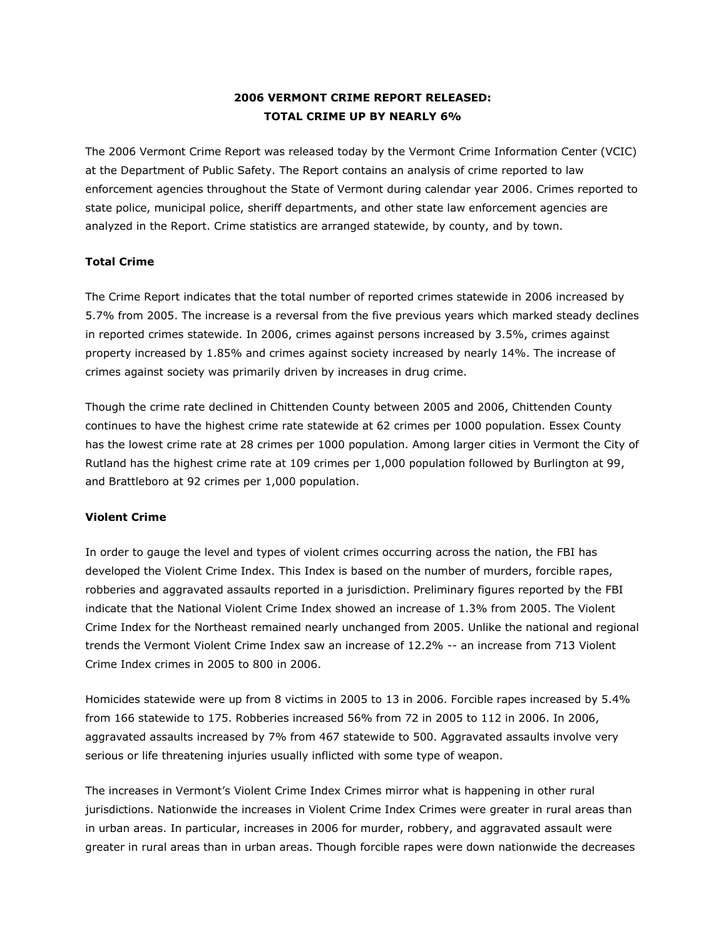# **2006 VERMONT CRIME REPORT RELEASED: TOTAL CRIME UP BY NEARLY 6%**

The 2006 Vermont Crime Report was released today by the Vermont Crime Information Center (VCIC) at the Department of Public Safety. The Report contains an analysis of crime reported to law enforcement agencies throughout the State of Vermont during calendar year 2006. Crimes reported to state police, municipal police, sheriff departments, and other state law enforcement agencies are analyzed in the Report. Crime statistics are arranged statewide, by county, and by town.

## **Total Crime**

The Crime Report indicates that the total number of reported crimes statewide in 2006 increased by 5.7% from 2005. The increase is a reversal from the five previous years which marked steady declines in reported crimes statewide. In 2006, crimes against persons increased by 3.5%, crimes against property increased by 1.85% and crimes against society increased by nearly 14%. The increase of crimes against society was primarily driven by increases in drug crime.

Though the crime rate declined in Chittenden County between 2005 and 2006, Chittenden County continues to have the highest crime rate statewide at 62 crimes per 1000 population. Essex County has the lowest crime rate at 28 crimes per 1000 population. Among larger cities in Vermont the City of Rutland has the highest crime rate at 109 crimes per 1,000 population followed by Burlington at 99, and Brattleboro at 92 crimes per 1,000 population.

## **Violent Crime**

In order to gauge the level and types of violent crimes occurring across the nation, the FBI has developed the Violent Crime Index. This Index is based on the number of murders, forcible rapes, robberies and aggravated assaults reported in a jurisdiction. Preliminary figures reported by the FBI indicate that the National Violent Crime Index showed an increase of 1.3% from 2005. The Violent Crime Index for the Northeast remained nearly unchanged from 2005. Unlike the national and regional trends the Vermont Violent Crime Index saw an increase of 12.2% -- an increase from 713 Violent Crime Index crimes in 2005 to 800 in 2006.

Homicides statewide were up from 8 victims in 2005 to 13 in 2006. Forcible rapes increased by 5.4% from 166 statewide to 175. Robberies increased 56% from 72 in 2005 to 112 in 2006. In 2006, aggravated assaults increased by 7% from 467 statewide to 500. Aggravated assaults involve very serious or life threatening injuries usually inflicted with some type of weapon.

The increases in Vermont's Violent Crime Index Crimes mirror what is happening in other rural jurisdictions. Nationwide the increases in Violent Crime Index Crimes were greater in rural areas than in urban areas. In particular, increases in 2006 for murder, robbery, and aggravated assault were greater in rural areas than in urban areas. Though forcible rapes were down nationwide the decreases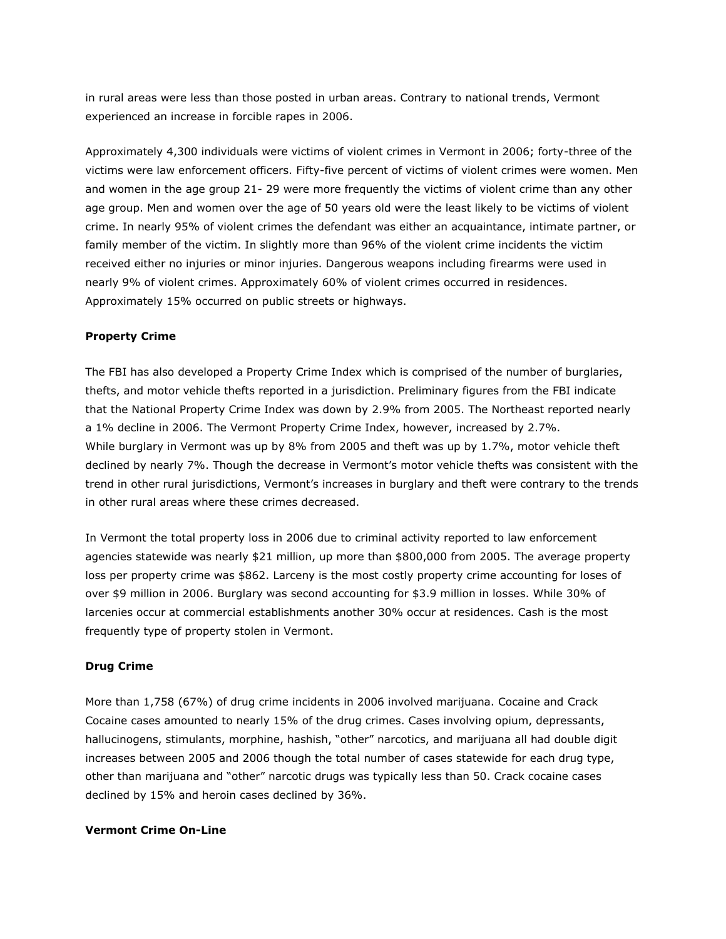in rural areas were less than those posted in urban areas. Contrary to national trends, Vermont experienced an increase in forcible rapes in 2006.

Approximately 4,300 individuals were victims of violent crimes in Vermont in 2006; forty-three of the victims were law enforcement officers. Fifty-five percent of victims of violent crimes were women. Men and women in the age group 21- 29 were more frequently the victims of violent crime than any other age group. Men and women over the age of 50 years old were the least likely to be victims of violent crime. In nearly 95% of violent crimes the defendant was either an acquaintance, intimate partner, or family member of the victim. In slightly more than 96% of the violent crime incidents the victim received either no injuries or minor injuries. Dangerous weapons including firearms were used in nearly 9% of violent crimes. Approximately 60% of violent crimes occurred in residences. Approximately 15% occurred on public streets or highways.

## **Property Crime**

The FBI has also developed a Property Crime Index which is comprised of the number of burglaries, thefts, and motor vehicle thefts reported in a jurisdiction. Preliminary figures from the FBI indicate that the National Property Crime Index was down by 2.9% from 2005. The Northeast reported nearly a 1% decline in 2006. The Vermont Property Crime Index, however, increased by 2.7%. While burglary in Vermont was up by 8% from 2005 and theft was up by 1.7%, motor vehicle theft declined by nearly 7%. Though the decrease in Vermont's motor vehicle thefts was consistent with the trend in other rural jurisdictions, Vermont's increases in burglary and theft were contrary to the trends in other rural areas where these crimes decreased.

In Vermont the total property loss in 2006 due to criminal activity reported to law enforcement agencies statewide was nearly \$21 million, up more than \$800,000 from 2005. The average property loss per property crime was \$862. Larceny is the most costly property crime accounting for loses of over \$9 million in 2006. Burglary was second accounting for \$3.9 million in losses. While 30% of larcenies occur at commercial establishments another 30% occur at residences. Cash is the most frequently type of property stolen in Vermont.

#### **Drug Crime**

More than 1,758 (67%) of drug crime incidents in 2006 involved marijuana. Cocaine and Crack Cocaine cases amounted to nearly 15% of the drug crimes. Cases involving opium, depressants, hallucinogens, stimulants, morphine, hashish, "other" narcotics, and marijuana all had double digit increases between 2005 and 2006 though the total number of cases statewide for each drug type, other than marijuana and "other" narcotic drugs was typically less than 50. Crack cocaine cases declined by 15% and heroin cases declined by 36%.

#### **Vermont Crime On-Line**